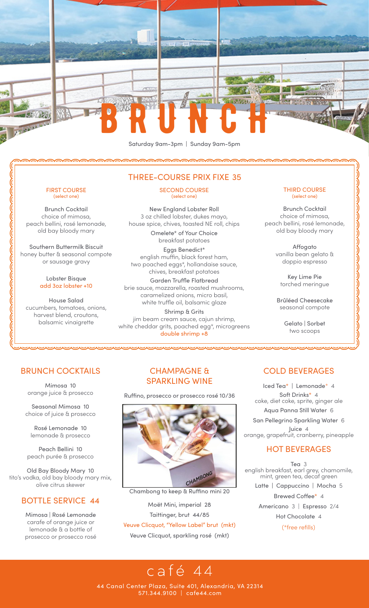

### FIRST COURSE (select one)

Brunch Cocktail choice of mimosa, peach bellini, rosé lemonade, old bay bloody mary

Southern Buttermilk Biscuit honey butter & seasonal compote or sausage gravy

NUMER AND NOTES AND REAL PROPERTY OF THE REAL PROPERTY OF THE REAL PROPERTY OF THE REAL PROPERTY OF THE REAL P

#### Lobster Bisque add 3oz lobster +10

House Salad cucumbers, tomatoes, onions, harvest blend, croutons, balsamic vinaigrette

### THREE-COURSE PRIX FIXE 35

SECOND COURSE (select one)

New England Lobster Roll 3 oz chilled lobster, dukes mayo, house spice, chives, toasted NE roll, chips

> Omelete\* of Your Choice breakfast potatoes

Eggs Benedict\* english muffin, black forest ham, two poached eggs\*, hollandaise sauce, chives, breakfast potatoes Garden Truffle Flatbread brie sauce, mozzarella, roasted mushrooms, caramelized onions, micro basil, white truffle oil, balsamic glaze

Shrimp & Grits jim beam cream sauce, cajun shrimp, white cheddar grits, poached egg\*, microgreens double shrimp +8

<u>A DISPONDIDA DE MONDO DE MONDO DE MONDO DE MONDO DE MONDO DE MONDO DE MONDO DE MONDO DE MONDO DE MONDO DE MONDO DE MONDO DE MONDO DE MONDO DE MONDO DE MONDO DE MONDO DE MONDO DE MONDO DE MONDO DE MONDO DE MONDO DE MONDO D</u>

#### THIRD COURSE (select one)

Brunch Cocktail choice of mimosa, peach bellini, rosé lemonade, old bay bloody mary

> Affogato vanilla bean gelato & doppio espresso

シンシンシンシンソンソンソンシング

Key Lime Pie torched meringue

Brûléed Cheesecake seasonal compote

> Gelato | Sorbet two scoops

### BRUNCH COCKTAILS

Mimosa 10 orange juice & prosecco

Seasonal Mimosa 10 choice of juice & prosecco

Rosé Lemonade 10 lemonade & prosecco

Peach Bellini 10 peach purée & prosecco

Old Bay Bloody Mary 10 tito's vodka, old bay bloody mary mix, olive citrus skewer

### BOTTLE SERVICE 44

Mimosa | Rosé Lemonade carafe of orange juice or lemonade & a bottle of prosecco or prosecco rosé

### CHAMPAGNE & SPARKLING WINE

Ruffino, prosecco or prosecco rosé 10/36



Chambong to keep & Ruffino mini 20

Moët Mini, imperial 28 Taittinger, brut 44/85 Veuve Clicquot, "Yellow Label" brut (mkt) Veuve Clicquot, sparkling rosé (mkt)

## COLD BEVERAGES

Iced Tea\* | Lemonade\* 4 Aqua Panna Still Water 6 Soft Drinks\* 4 coke, diet coke, sprite, ginger ale

San Pellegrino Sparkling Water 6 Juice 4 orange, grapefruit, cranberry, pineapple

### HOT BEVERAGES

Tea 3 english breakfast, earl grey, chamomile, mint, green tea, decaf green Latte | Cappuccino | Mocha 5 Brewed Coffee\* 4 Americano 3 | Espresso 2/4

> Hot Chocolate 4 (\*free refills)

# café 44

44 Canal Center Plaza, Suite 401, Alexandria, VA 22314 571.344.9100 | cafe44.com